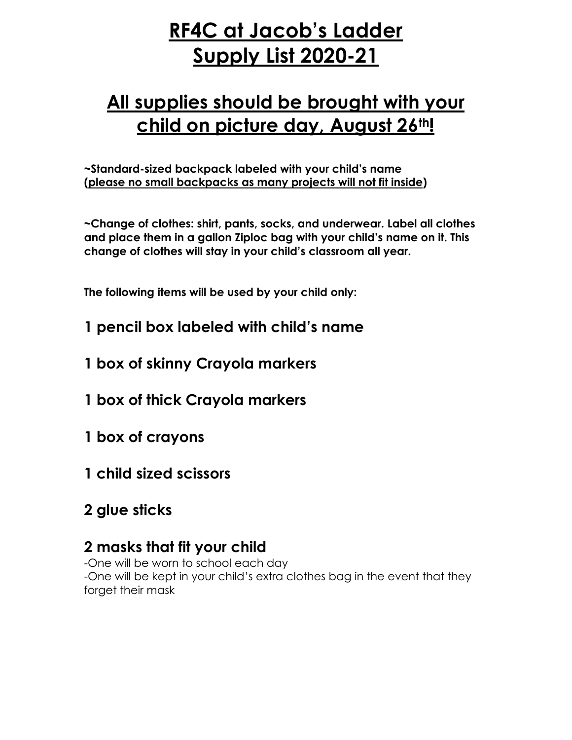## **RF4C at Jacob's Ladder Supply List 2020-21**

## **All supplies should be brought with your child on picture day, August 26th!**

**~Standard-sized backpack labeled with your child's name (please no small backpacks as many projects will not fit inside)**

**~Change of clothes: shirt, pants, socks, and underwear. Label all clothes and place them in a gallon Ziploc bag with your child's name on it. This change of clothes will stay in your child's classroom all year.**

**The following items will be used by your child only:**

- **1 pencil box labeled with child's name**
- **1 box of skinny Crayola markers**
- **1 box of thick Crayola markers**
- **1 box of crayons**
- **1 child sized scissors**
- **2 glue sticks**

## **2 masks that fit your child**

-One will be worn to school each day -One will be kept in your child's extra clothes bag in the event that they forget their mask